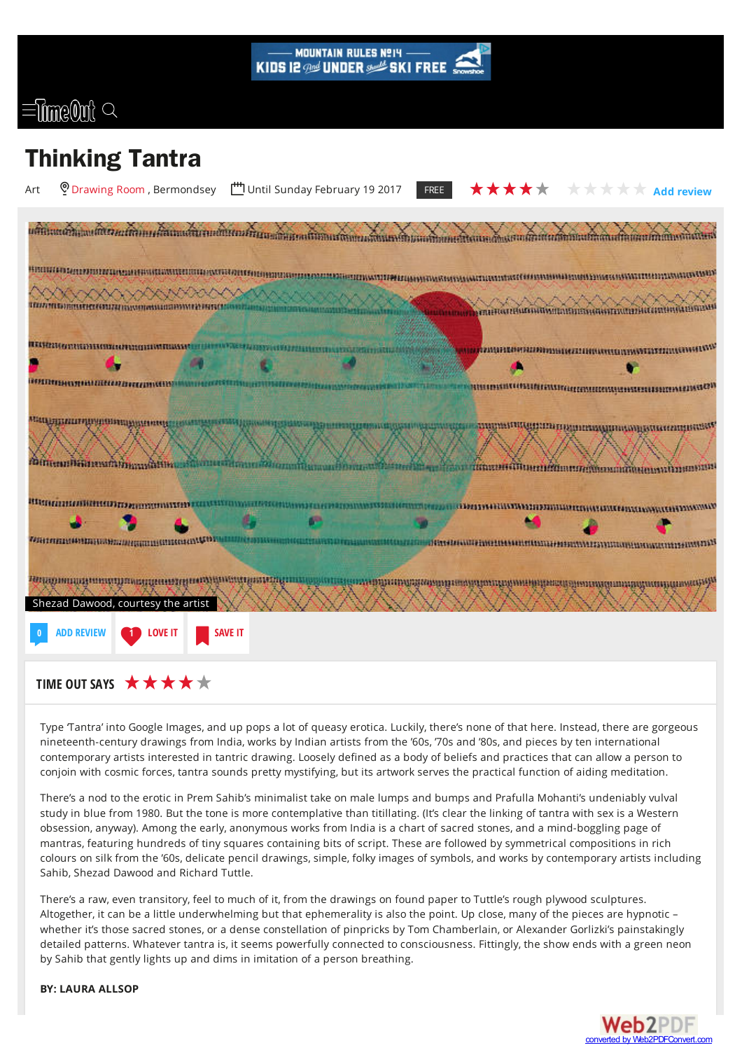

## $\equiv$  filme@nf

## **Thinking Tantra**



Type Tantra' into Google Images, and up pops a lot of queasy erotica. Luckily, there's none of that here. Instead, there are gorgeous nineteenth-century drawings from India, works by Indian artists from the '60s, '70s and '80s, and pieces by ten international contemporary artists interested in tantric drawing. Loosely defined as a body of beliefs and practices that can allow a person to conjoin with cosmic forces, tantra sounds pretty mystifying, but its artwork serves the practical function of aiding meditation.

There's a nod to the erotic in Prem Sahib's minimalist take on male lumps and bumps and Prafulla Mohanti's undeniably vulval study in blue from 1980. But the tone is more contemplative than titillating. (It's clear the linking of tantra with sex is a Western obsession, anyway). Among the early, anonymous works from India is a chart of sacred stones, and a mind-boggling page of mantras, featuring hundreds of tiny squares containing bits of script. These are followed by symmetrical compositions in rich colours on silk from the '60s, delicate pencil drawings, simple, folky images of symbols, and works by contemporary artists including Sahib, Shezad Dawood and Richard Tuttle.

There's a raw, even transitory, feel to much of it, from the drawings on found paper to Tuttle's rough plywood sculptures. Altogether, it can be a little underwhelming but that ephemerality is also the point. Up close, many of the pieces are hypnotic – whether it's those sacred stones, or a dense constellation of pinpricks by Tom Chamberlain, or Alexander Gorlizki's painstakingly detailed patterns. Whatever tantra is, it seems powerfully connected to consciousness. Fittingly, the show ends with a green neon by Sahib that gently lights up and dims in imitation of a person breathing.

**BY: LAURA ALLSOP**

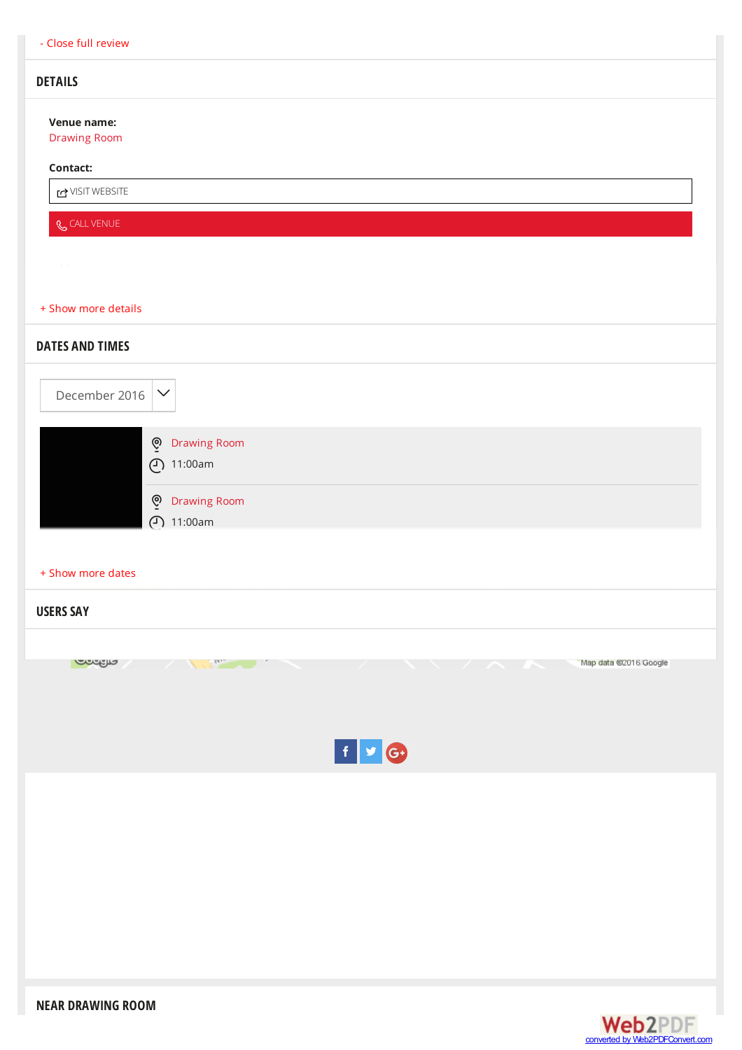## **DETAILS**

**Venue name:**

[Drawing](http://www.timeout.com/london/art/drawing-room) Room

## **Contact:**

j [VISITWEBSITE](http://www.drawingroom.org.uk)

**&** CALL [VENUE](tel:020 7394 5657)

<span id="page-1-0"></span>

| + Show more details                                  |
|------------------------------------------------------|
| <b>DATES AND TIMES</b>                               |
| December 2016<br>$\checkmark$                        |
| O Drawing Room<br>$( )$ 11:00am                      |
| <b>Drawing Room</b><br>ଡ଼ୢ<br>(11:00am)              |
| + Show more dates                                    |
| <b>USERS SAY</b>                                     |
|                                                      |
| <b>Confine</b><br>Map data @2016 Google<br>$ln_{12}$ |
| $f \bullet G$                                        |
|                                                      |
|                                                      |
|                                                      |
|                                                      |
|                                                      |
|                                                      |

**NEAR DRAWING ROOM**